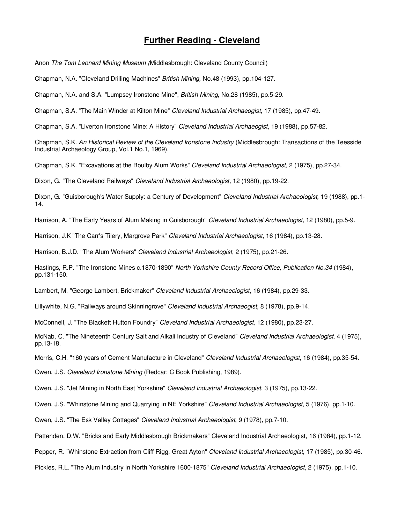## **Further Reading - Cleveland**

Anon The Tom Leonard Mining Museum (Middlesbrough: Cleveland County Council)

Chapman, N.A. "Cleveland Drilling Machines" British Mining, No.48 (1993), pp.104-127.

Chapman, N.A. and S.A. "Lumpsey Ironstone Mine", British Mining, No.28 (1985), pp.5-29.

Chapman, S.A. "The Main Winder at Kilton Mine" Cleveland Industrial Archaeogist, 17 (1985), pp.47-49.

Chapman, S.A. "Liverton Ironstone Mine: A History" Cleveland Industrial Archaeogist, 19 (1988), pp.57-82.

Chapman, S.K. An Historical Review of the Cleveland Ironstone Industry (Middlesbrough: Transactions of the Teesside Industrial Archaeology Group, Vol.1 No.1, 1969).

Chapman, S.K. "Excavations at the Boulby Alum Works" Cleveland Industrial Archaeologist, 2 (1975), pp.27-34.

Dixon, G. "The Cleveland Railways" Cleveland Industrial Archaeologist, 12 (1980), pp.19-22.

Dixon, G. "Guisborough's Water Supply: a Century of Development" Cleveland Industrial Archaeologist, 19 (1988), pp.1-14.

Harrison, A. "The Early Years of Alum Making in Guisborough" Cleveland Industrial Archaeologist, 12 (1980), pp.5-9.

Harrison, J.K "The Carr's Tilery, Margrove Park" Cleveland Industrial Archaeologist, 16 (1984), pp.13-28.

Harrison, B.J.D. "The Alum Workers" Cleveland Industrial Archaeologist, 2 (1975), pp.21-26.

Hastings, R.P. "The Ironstone Mines c.1870-1890" North Yorkshire County Record Office, Publication No.34 (1984), pp.131-150.

Lambert, M. "George Lambert, Brickmaker" Cleveland Industrial Archaeologist, 16 (1984), pp.29-33.

Lillywhite, N.G. "Railways around Skinningrove" Cleveland Industrial Archaeogist, 8 (1978), pp.9-14.

McConnell, J. "The Blackett Hutton Foundry" Cleveland Industrial Archaeologist, 12 (1980), pp.23-27.

McNab, C. "The Nineteenth Century Salt and Alkali Industry of Cleveland" Cleveland Industrial Archaeologist, 4 (1975), pp.13-18.

Morris, C.H. "160 years of Cement Manufacture in Cleveland" *Cleveland Industrial Archaeologist*, 16 (1984), pp.35-54.

Owen, J.S. Cleveland Ironstone Mining (Redcar: C Book Publishing, 1989).

Owen, J.S. "Jet Mining in North East Yorkshire" Cleveland Industrial Archaeologist, 3 (1975), pp.13-22.

Owen, J.S. "Whinstone Mining and Quarrying in NE Yorkshire" Cleveland Industrial Archaeologist, 5 (1976), pp.1-10.

Owen, J.S. "The Esk Valley Cottages" Cleveland Industrial Archaeologist, 9 (1978), pp.7-10.

Pattenden, D.W. "Bricks and Early Middlesbrough Brickmakers" Cleveland Industrial Archaeologist, 16 (1984), pp.1-12.

Pepper, R. "Whinstone Extraction from Cliff Rigg, Great Ayton" Cleveland Industrial Archaeologist, 17 (1985), pp.30-46.

Pickles, R.L. "The Alum Industry in North Yorkshire 1600-1875" Cleveland Industrial Archaeologist, 2 (1975), pp.1-10.